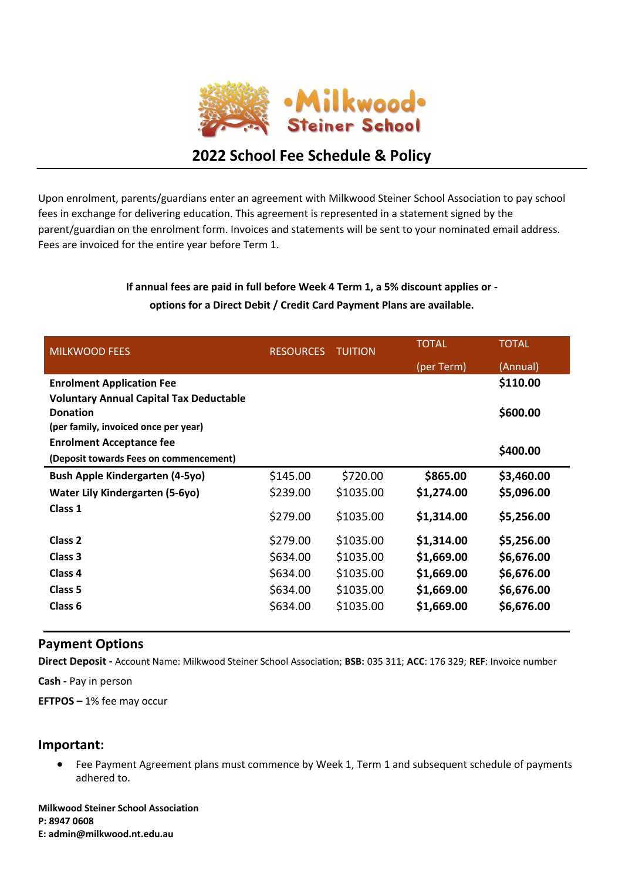

# **2022 School Fee Schedule & Policy**

Upon enrolment, parents/guardians enter an agreement with Milkwood Steiner School Association to pay school fees in exchange for delivering education. This agreement is represented in a statement signed by the parent/guardian on the enrolment form. Invoices and statements will be sent to your nominated email address. Fees are invoiced for the entire year before Term 1.

## **If annual fees are paid in full before Week 4 Term 1, a 5% discount applies or options for a Direct Debit / Credit Card Payment Plans are available.**

| <b>MILKWOOD FEES</b>                           | <b>RESOURCES</b> | <b>TUITION</b> | <b>TOTAL</b> | <b>TOTAL</b> |
|------------------------------------------------|------------------|----------------|--------------|--------------|
|                                                |                  |                | (per Term)   | (Annual)     |
| <b>Enrolment Application Fee</b>               |                  |                |              | \$110.00     |
| <b>Voluntary Annual Capital Tax Deductable</b> |                  |                |              |              |
| <b>Donation</b>                                |                  |                |              | \$600.00     |
| (per family, invoiced once per year)           |                  |                |              |              |
| <b>Enrolment Acceptance fee</b>                |                  |                |              |              |
| (Deposit towards Fees on commencement)         |                  |                |              | \$400.00     |
| <b>Bush Apple Kindergarten (4-5yo)</b>         | \$145.00         | \$720.00       | \$865.00     | \$3,460.00   |
| <b>Water Lily Kindergarten (5-6yo)</b>         | \$239.00         | \$1035.00      | \$1,274.00   | \$5,096.00   |
| Class 1                                        | \$279.00         | \$1035.00      | \$1,314.00   | \$5,256.00   |
| Class <sub>2</sub>                             | \$279.00         | \$1035.00      | \$1,314.00   | \$5,256.00   |
| Class 3                                        | \$634.00         | \$1035.00      | \$1,669.00   | \$6,676.00   |
| Class 4                                        | \$634.00         | \$1035.00      | \$1,669.00   | \$6,676.00   |
| Class 5                                        | \$634.00         | \$1035.00      | \$1,669.00   | \$6,676.00   |
| Class <sub>6</sub>                             | \$634.00         | \$1035.00      | \$1,669.00   | \$6,676.00   |

### **Payment Options**

**Direct Deposit -** Account Name: Milkwood Steiner School Association; **BSB:** 035 311; **ACC**: 176 329; **REF**: Invoice number

**Cash -** Pay in person

**EFTPOS –** 1% fee may occur

### **Important:**

• Fee Payment Agreement plans must commence by Week 1, Term 1 and subsequent schedule of payments adhered to.

**Milkwood Steiner School Association P: 8947 0608 E: admin@milkwood.nt.edu.au**